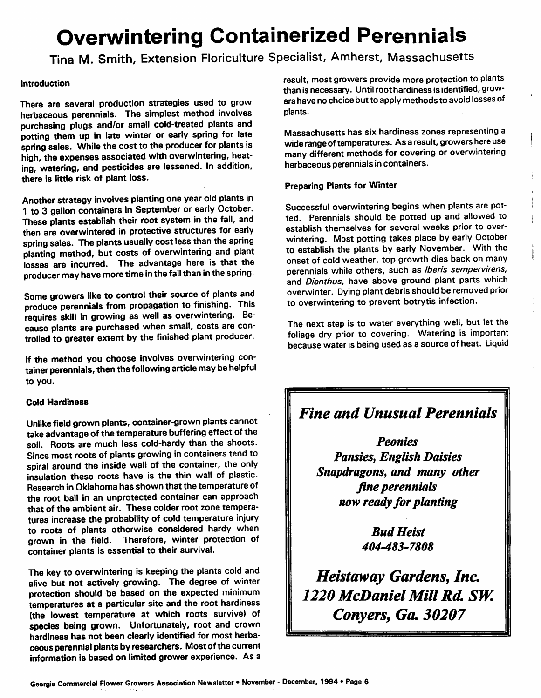# *Overwintering Containerized Perennials*

# *Tina M. Smith, Extension Floriculture Specialist, Amherst, Massachusetts*

# *Introduction*

*There are several production strategies used to grow herbaceous perennials. The simplest method involves purchasing plugs and/or small cold-treated plants and potting them up in late winter or early spring for late spring sales. Whilethe cost to the producer for plants is high, the expenses associated with overwintering, heat ing, watering, and pesticides are lessened. In addition, there is little risk of plant loss.*

*Another strategy involves planting one year old plantsin 1 to 3 gallon containers in September or early October. These plants establish their root system in the fall, and then are overwintered in protective structures for early spring sales. The plants usually cost less thanthe spring planting method, but costs of overwintering and plant losses are incurred. The advantage here is that the producer mayhavemore timeinthe fall thanin the spring.*

*Some growers like to control their source of plants and produce perennials from propagation to finishing. This requires skill in growing as well as overwintering. Be cause plants are purchased when small, costs are con trolled to greater extent by the finished plant producer.*

*If the method you choose involves overwintering con tainer perennials, then the following article maybehelpful to you.*

### *Cold Hardiness*

*Unlike field grown plants, container-grown plants cannot take advantage of the temperature buffering effect of the soil. Roots are much less cold-hardy than the shoots. Since most roots of plants growing in containers tend to spiral around the inside wall of the container, the only insulation these roots have is the thin wall of plastic. Research in Oklahoma has shown that the temperature of the root ball in an unprotected container can approach that of the ambient air. These colder root zone tempera tures increase the probability of cold temperature injury to roots of plants otherwise considered hardy when grown in the field. Therefore, winter protection of container plants is essential to their survival.*

*The key to overwintering is keeping the plants cold and alive but not actively growing. The degree of winter protection should be based on the expected minimum temperatures at a particular site and the root hardiness (the lowest temperature at which roots survive) of species being grown. Unfortunately, root and crown hardiness has not been clearly identified for most herba ceous perennialplants by researchers. Most of the current information is based on limited grower experience. As a* *result, most growers provide more protection to plants than is necessary. Until root hardiness is identified, grow ers have no choice butto apply methodsto avoid losses of plants.*

*Massachusetts has six hardiness zones representing a wide rangeof temperatures. Asa result, growers hereuse many different methods for covering or overwintering herbaceous perennialsin containers.*

## *Preparing Plants for Winter*

*Successful overwintering begins when plants are pot ted. Perennials should be potted up and allowed to establish themselves for several weeks prior to over wintering. Most potting takes place by early October to establish the plants by early November. With the onset of cold weather, top growth dies back on many perennials while others, such as /ben's sempervirens, and Dianthus, have above ground plant parts which overwinter. Dying plant debris should be removed prior to overwintering to prevent botrytis infection.*

*The next step is to water everything well, but let the foliage dry prior to covering. Watering is important because water is being used as a source of heat. Liquid*

# *Fine and Unusual Perennials*

*Peonies Pansies, English Daisies Snapdragons, and many other fine perennials now ready for planting*

> **Bud Heist** *404-483-7808*

*Heistaway Gardens, Inc. 1220 McDaniel Mill Rd SW. Conyers, Go. 30207*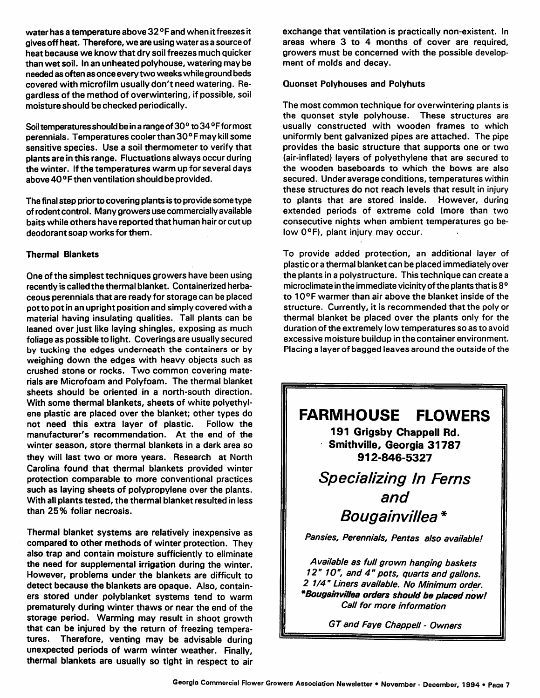water has a temperature above 32°F and when it freezes it gives off heat. Therefore, we are using water as a source of heat because we know that dry soil freezes much quicker than wetsoil. In an unheated polyhouse, watering may be needed as often as once everytwo weeks while ground beds covered with microfilm usually don't need watering. Re gardless of the method of overwintering, if possible, soil moisture should be checked periodically.

Soil temperatures should be in a range of 30° to 34°F for most perennials. Temperatures cooler than 30°F may kill some sensitive species. Use a soil thermometer to verify that plants are in this range. Fluctuations always occur during the winter. If the temperatures warm up for several days above 40° F then ventilation should be provided.

The final step prior to covering plants is to provide some type of rodent control. Many growers use commercially available baits while others have reported that human hair or cut up deodorant soap works for them.

## Thermal Blankets

One ofthe simplest techniques growers have been using recently is called the thermal blanket. Containerized herba ceous perennials that are ready for storage can be placed potto pot in an upright position and simply covered with a material having insulating qualities. Tall plants can be leaned over just like laying shingles, exposing as much foliage as possible to light. Coverings are usually secured by tucking the edges underneath the containers or by weighing down the edges with heavy objects such as crushed stone or rocks. Two common covering mate rials are Microfoam and Polyfoam. The thermal blanket sheets should be oriented in a north-south direction. With some thermal blankets, sheets of white polyethyl ene plastic are placed over the blanket; other types do not need this extra layer of plastic. Follow the manufacturer's recommendation. At the end of the winter season, store thermal blankets in a dark area so they will last two or more years. Research at North Carolina found that thermal blankets provided winter protection comparable to more conventional practices such as laying sheets of polypropylene over the plants. With all plants tested, the thermal blanket resulted in less than 25% foliar necrosis.

Thermal blanket systems are relatively inexpensive as compared to other methods of winter protection. They also trap and contain moisture sufficiently to eliminate the need for supplemental irrigation during the winter. However, problems under the blankets are difficult to detect because the blankets are opaque. Also, contain ers stored under polyblanket systems tend to warm prematurely during winter thaws or near the end of the storage period. Warming may result in shoot growth that can be injured by the return of freezing tempera tures. Therefore, venting may be advisable during unexpected periods of warm winter weather. Finally, thermal blankets are usually so tight in respect to air exchange that ventilation is practically non-existent. In areas where 3 to 4 months of cover are required, growers must be concerned with the possible develop ment of molds and decay.

#### Quonset Polyhouses and Polyhuts

The most common technique for overwintering plants is the quonset style polyhouse. These structures are usually constructed with wooden frames to which uniformly bent galvanized pipes are attached. The pipe provides the basic structure that supports one or two (air-inflated) layers of polyethylene that are secured to the wooden baseboards to which the bows are also secured. Under average conditions, temperatures within these structures do not reach levels that result in injury to plants that are stored inside. However, during extended periods of extreme cold (more than two consecutive nights when ambient temperatures go be low 0°F), plant injury may occur.

To provide added protection, an additional layer of plastic or a thermal blanket can be placed immediately over the plants in a polystructure. Thistechnique can create a microclimate in the immediate vicinity of the plants that is 8° to 10°F warmer than air above the blanket inside of the structure. Currently, it is recommended that the poly or thermal blanket be placed over the plants only for the duration of the extremely low temperatures so as to avoid excessive moisture buildup in the container environment. Placing a layer of bagged leaves around the outside of the

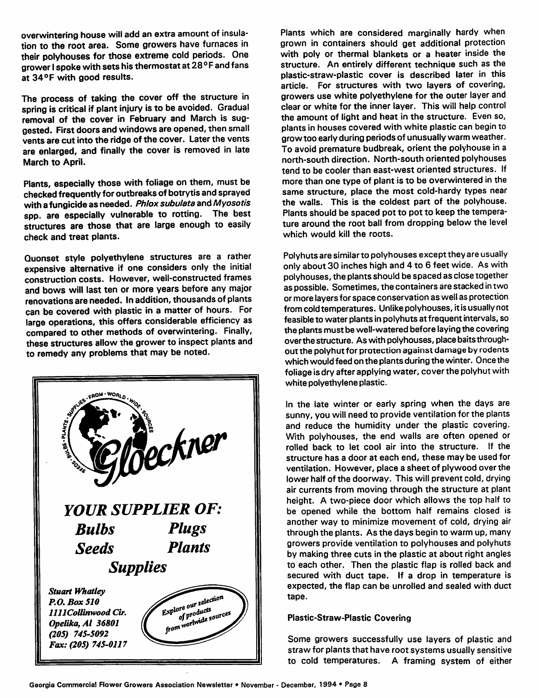*overwintering house will add an extra* amount of insula tion *to the root area. Some growers* have furnaces in *their polyhouses for those extreme cold periods.* One *growerIspoke with sets histhermostat* at 28 °Fandfans *at 34°F with good results.*

*The process of taking the cover off the structure in springis critical if plant injury is to be avoided. Gradual removal of the cover in February and March is sug gested. First doors and* windows *are*opened, then small *vents are cut into the ridge of the cover. Later*the vents *are enlarged, and finally the cover is removed in* late *March to April.*

*Plants, especially those with foliage on* them, must be *checked frequently for outbreaks of botrytis and* sprayed *with a fungicide as needed. Phlox***subulate***and***Myosotis** *spp. are especially vulnerable to rotting. The best structures are those that are large enough* to easily check *and treat plants.*

*Quonset style polyethylene* structures are a rather *expensive alternative if one considers* only the initial *construction costs. However,* well-constructed frames *and bows will last ten or more years* before any major *renovations are needed. In addition, thousands of* plants *can be covered with plastic in a matter of* hours. For *large operations, this offers considerable* efficiency as *compared to other methods of overwintering.* Finally, *these structures allow the grower to* inspect plants and *to remedy any problems that may be* noted.



Plants which are considered marginally hardy when grown in containers should get additional protection with poly or thermal blankets or a heater inside the structure. An entirely different technique such as the plastic-straw-plastic cover is described later in this article. For structures with two layers of covering, growers use white polyethylene for the outer layer and clear or white for the inner layer. This will help control the amount of light and heat in the structure. Even so, plants in houses covered with white plastic can begin to growtoo early during periods of unusually warm weather. To avoid premature budbreak, orient the polyhouse in a north-south direction. North-south oriented polyhouses tend to be cooler than east-west oriented structures. If more than one type of plant is to be overwintered in the same structure, place the most cold-hardy types near the walls. This is the coldest part of the polyhouse. Plants should be spaced pot to pot to keep the tempera ture around the root ball from dropping below the level which would kill the roots.

Polyhuts are similar to polyhouses except they are usually only about 30 inches high and 4 to 6 feet wide. As with polyhouses, the plants should be spaced as close together as possible. Sometimes, the containers are stacked intwo or more layersfor space conservation as well as protection from cold temperatures. Unlike polyhouses, it is usually not feasible to water plantsin polyhuts at frequent intervals, so the plants must be well-watered before laying the covering over the structure. As with polyhouses, place baits throughout the polyhut for protection against damage by rodents which would feed on the plants during the winter. Once the foliage is dry after applying water, cover the polyhut with white polyethylene plastic.

In the late winter or early spring when the days are sunny, you will need to provide ventilation for the plants and reduce the humidity under the plastic covering. With polyhouses, the end walls are often opened or rolled back to let cool air into the structure. If the structure has a door at each end, these may be used for ventilation. However, place a sheet of plywood over the lower half of the doorway. This will prevent cold, drying air currents from moving through the structure at plant height. A two-piece door which allows the top half to be opened while the bottom half remains closed is another way to minimize movement of cold, drying air through the plants. As the days begin to warm up, many growers provide ventilation to polyhouses and polyhuts by making three cuts in the plastic at about right angles to each other. Then the plastic flap is rolled back and secured with duct tape. If a drop in temperature is expected, the flap can be unrolled and sealed with duct tape.

## *Plastic-Straw-Plastic Covering*

Some growers successfully use layers of plastic and straw for plants that have root systems usually sensitive to cold temperatures. A framing system of either